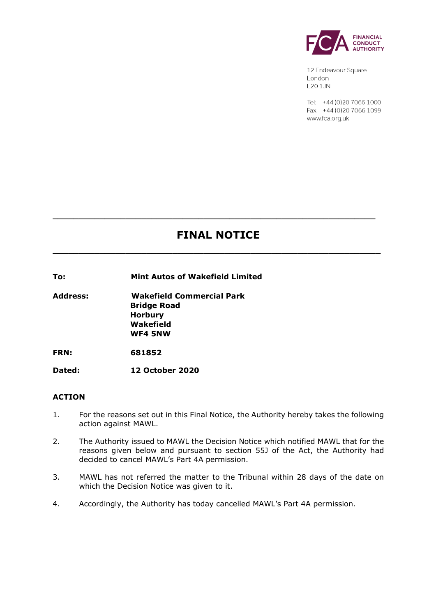

12 Endeavour Square London E201JN

Tel: +44 (0) 20 7066 1000 Fax: +44 (0) 20 7066 1099 www.fca.org.uk

# **FINAL NOTICE**

**\_\_\_\_\_\_\_\_\_\_\_\_\_\_\_\_\_\_\_\_\_\_\_\_\_\_\_\_\_\_\_\_\_\_\_\_\_\_\_\_\_\_\_\_\_\_\_\_\_\_\_\_\_\_\_\_\_\_\_\_\_\_\_**

**\_\_\_\_\_\_\_\_\_\_\_\_\_\_\_\_\_\_\_\_\_\_\_\_\_\_\_\_\_\_\_\_\_\_\_\_\_\_\_\_\_\_\_\_\_\_\_\_\_\_\_\_\_\_\_\_\_\_\_\_\_\_**

**To: Mint Autos of Wakefield Limited**

**Address: Wakefield Commercial Park Bridge Road Horbury Wakefield WF4 5NW**

**FRN: 681852**

**Dated: 12 October 2020**

# **ACTION**

- 1. For the reasons set out in this Final Notice, the Authority hereby takes the following action against MAWL.
- 2. The Authority issued to MAWL the Decision Notice which notified MAWL that for the reasons given below and pursuant to section 55J of the Act, the Authority had decided to cancel MAWL's Part 4A permission.
- 3. MAWL has not referred the matter to the Tribunal within 28 days of the date on which the Decision Notice was given to it.
- 4. Accordingly, the Authority has today cancelled MAWL's Part 4A permission.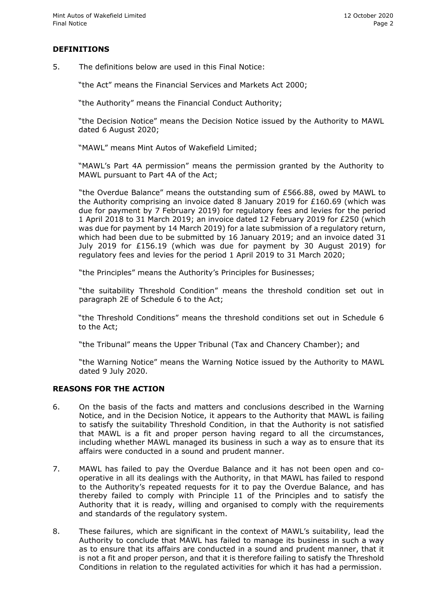# **DEFINITIONS**

5. The definitions below are used in this Final Notice:

"the Act" means the Financial Services and Markets Act 2000;

"the Authority" means the Financial Conduct Authority;

"the Decision Notice" means the Decision Notice issued by the Authority to MAWL dated 6 August 2020;

"MAWL" means Mint Autos of Wakefield Limited;

"MAWL's Part 4A permission" means the permission granted by the Authority to MAWL pursuant to Part 4A of the Act;

"the Overdue Balance" means the outstanding sum of £566.88, owed by MAWL to the Authority comprising an invoice dated 8 January 2019 for £160.69 (which was due for payment by 7 February 2019) for regulatory fees and levies for the period 1 April 2018 to 31 March 2019; an invoice dated 12 February 2019 for £250 (which was due for payment by 14 March 2019) for a late submission of a regulatory return, which had been due to be submitted by 16 January 2019; and an invoice dated 31 July 2019 for £156.19 (which was due for payment by 30 August 2019) for regulatory fees and levies for the period 1 April 2019 to 31 March 2020;

"the Principles" means the Authority's Principles for Businesses;

"the suitability Threshold Condition" means the threshold condition set out in paragraph 2E of Schedule 6 to the Act;

"the Threshold Conditions" means the threshold conditions set out in Schedule 6 to the Act;

"the Tribunal" means the Upper Tribunal (Tax and Chancery Chamber); and

"the Warning Notice" means the Warning Notice issued by the Authority to MAWL dated 9 July 2020.

### **REASONS FOR THE ACTION**

- 6. On the basis of the facts and matters and conclusions described in the Warning Notice, and in the Decision Notice, it appears to the Authority that MAWL is failing to satisfy the suitability Threshold Condition, in that the Authority is not satisfied that MAWL is a fit and proper person having regard to all the circumstances, including whether MAWL managed its business in such a way as to ensure that its affairs were conducted in a sound and prudent manner.
- 7. MAWL has failed to pay the Overdue Balance and it has not been open and cooperative in all its dealings with the Authority, in that MAWL has failed to respond to the Authority's repeated requests for it to pay the Overdue Balance, and has thereby failed to comply with Principle 11 of the Principles and to satisfy the Authority that it is ready, willing and organised to comply with the requirements and standards of the regulatory system.
- 8. These failures, which are significant in the context of MAWL's suitability, lead the Authority to conclude that MAWL has failed to manage its business in such a way as to ensure that its affairs are conducted in a sound and prudent manner, that it is not a fit and proper person, and that it is therefore failing to satisfy the Threshold Conditions in relation to the regulated activities for which it has had a permission.